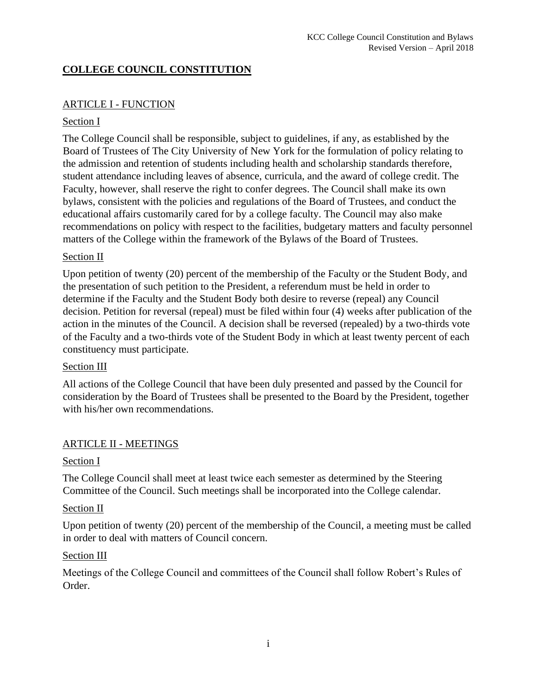## **COLLEGE COUNCIL CONSTITUTION**

## ARTICLE I - FUNCTION

### Section I

The College Council shall be responsible, subject to guidelines, if any, as established by the Board of Trustees of The City University of New York for the formulation of policy relating to the admission and retention of students including health and scholarship standards therefore, student attendance including leaves of absence, curricula, and the award of college credit. The Faculty, however, shall reserve the right to confer degrees. The Council shall make its own bylaws, consistent with the policies and regulations of the Board of Trustees, and conduct the educational affairs customarily cared for by a college faculty. The Council may also make recommendations on policy with respect to the facilities, budgetary matters and faculty personnel matters of the College within the framework of the Bylaws of the Board of Trustees.

### Section II

Upon petition of twenty (20) percent of the membership of the Faculty or the Student Body, and the presentation of such petition to the President, a referendum must be held in order to determine if the Faculty and the Student Body both desire to reverse (repeal) any Council decision. Petition for reversal (repeal) must be filed within four (4) weeks after publication of the action in the minutes of the Council. A decision shall be reversed (repealed) by a two-thirds vote of the Faculty and a two-thirds vote of the Student Body in which at least twenty percent of each constituency must participate.

#### Section III

All actions of the College Council that have been duly presented and passed by the Council for consideration by the Board of Trustees shall be presented to the Board by the President, together with his/her own recommendations.

## ARTICLE II - MEETINGS

#### Section I

The College Council shall meet at least twice each semester as determined by the Steering Committee of the Council. Such meetings shall be incorporated into the College calendar.

#### Section II

Upon petition of twenty (20) percent of the membership of the Council, a meeting must be called in order to deal with matters of Council concern.

#### Section III

Meetings of the College Council and committees of the Council shall follow Robert's Rules of Order.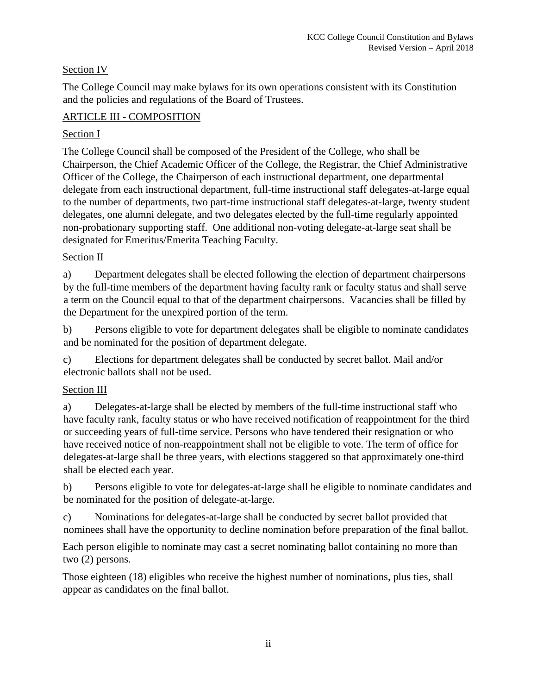## Section IV

The College Council may make bylaws for its own operations consistent with its Constitution and the policies and regulations of the Board of Trustees.

## ARTICLE III - COMPOSITION

## Section I

The College Council shall be composed of the President of the College, who shall be Chairperson, the Chief Academic Officer of the College, the Registrar, the Chief Administrative Officer of the College, the Chairperson of each instructional department, one departmental delegate from each instructional department, full-time instructional staff delegates-at-large equal to the number of departments, two part-time instructional staff delegates-at-large, twenty student delegates, one alumni delegate, and two delegates elected by the full-time regularly appointed non-probationary supporting staff. One additional non-voting delegate-at-large seat shall be designated for Emeritus/Emerita Teaching Faculty.

## Section II

a) Department delegates shall be elected following the election of department chairpersons by the full-time members of the department having faculty rank or faculty status and shall serve a term on the Council equal to that of the department chairpersons. Vacancies shall be filled by the Department for the unexpired portion of the term.

b) Persons eligible to vote for department delegates shall be eligible to nominate candidates and be nominated for the position of department delegate.

c) Elections for department delegates shall be conducted by secret ballot. Mail and/or electronic ballots shall not be used.

# Section III

a) Delegates-at-large shall be elected by members of the full-time instructional staff who have faculty rank, faculty status or who have received notification of reappointment for the third or succeeding years of full-time service. Persons who have tendered their resignation or who have received notice of non-reappointment shall not be eligible to vote. The term of office for delegates-at-large shall be three years, with elections staggered so that approximately one-third shall be elected each year.

b) Persons eligible to vote for delegates-at-large shall be eligible to nominate candidates and be nominated for the position of delegate-at-large.

c) Nominations for delegates-at-large shall be conducted by secret ballot provided that nominees shall have the opportunity to decline nomination before preparation of the final ballot.

Each person eligible to nominate may cast a secret nominating ballot containing no more than two (2) persons.

Those eighteen (18) eligibles who receive the highest number of nominations, plus ties, shall appear as candidates on the final ballot.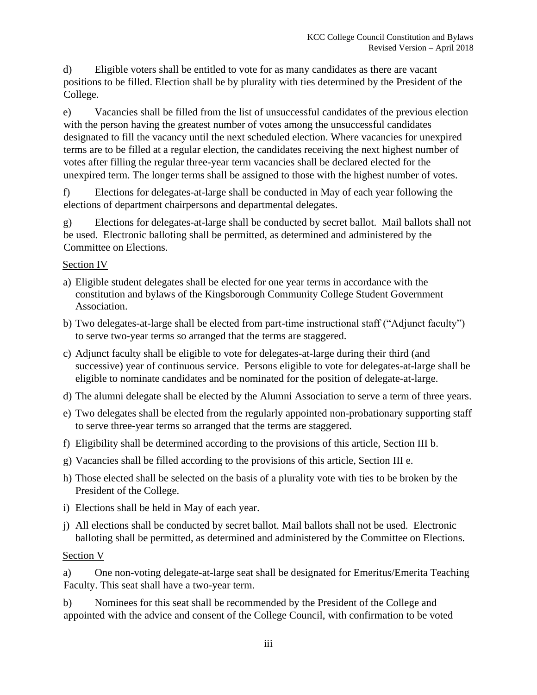d) Eligible voters shall be entitled to vote for as many candidates as there are vacant positions to be filled. Election shall be by plurality with ties determined by the President of the College.

e) Vacancies shall be filled from the list of unsuccessful candidates of the previous election with the person having the greatest number of votes among the unsuccessful candidates designated to fill the vacancy until the next scheduled election. Where vacancies for unexpired terms are to be filled at a regular election, the candidates receiving the next highest number of votes after filling the regular three-year term vacancies shall be declared elected for the unexpired term. The longer terms shall be assigned to those with the highest number of votes.

f) Elections for delegates-at-large shall be conducted in May of each year following the elections of department chairpersons and departmental delegates.

g) Elections for delegates-at-large shall be conducted by secret ballot. Mail ballots shall not be used. Electronic balloting shall be permitted, as determined and administered by the Committee on Elections.

### Section IV

- a) Eligible student delegates shall be elected for one year terms in accordance with the constitution and bylaws of the Kingsborough Community College Student Government Association.
- b) Two delegates-at-large shall be elected from part-time instructional staff ("Adjunct faculty") to serve two-year terms so arranged that the terms are staggered.
- c) Adjunct faculty shall be eligible to vote for delegates-at-large during their third (and successive) year of continuous service. Persons eligible to vote for delegates-at-large shall be eligible to nominate candidates and be nominated for the position of delegate-at-large.
- d) The alumni delegate shall be elected by the Alumni Association to serve a term of three years.
- e) Two delegates shall be elected from the regularly appointed non-probationary supporting staff to serve three-year terms so arranged that the terms are staggered.
- f) Eligibility shall be determined according to the provisions of this article, Section III b.
- g) Vacancies shall be filled according to the provisions of this article, Section III e.
- h) Those elected shall be selected on the basis of a plurality vote with ties to be broken by the President of the College.
- i) Elections shall be held in May of each year.
- j) All elections shall be conducted by secret ballot. Mail ballots shall not be used. Electronic balloting shall be permitted, as determined and administered by the Committee on Elections.

## Section V

a) One non-voting delegate-at-large seat shall be designated for Emeritus/Emerita Teaching Faculty. This seat shall have a two-year term.

b) Nominees for this seat shall be recommended by the President of the College and appointed with the advice and consent of the College Council, with confirmation to be voted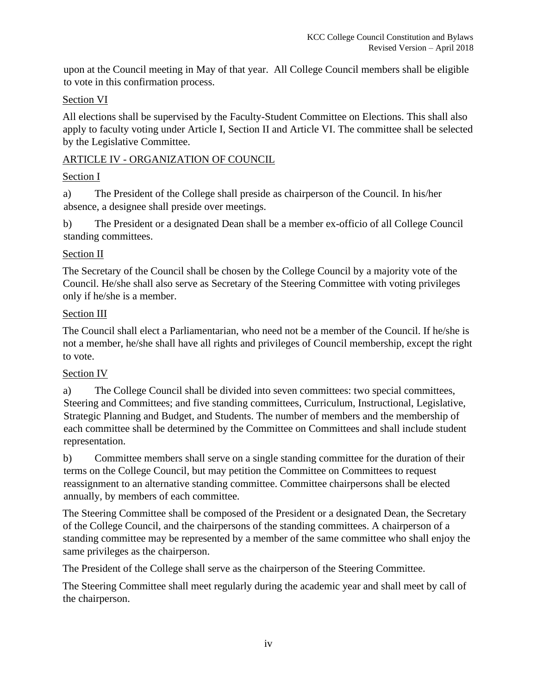upon at the Council meeting in May of that year. All College Council members shall be eligible to vote in this confirmation process.

## Section VI

All elections shall be supervised by the Faculty-Student Committee on Elections. This shall also apply to faculty voting under Article I, Section II and Article VI. The committee shall be selected by the Legislative Committee.

### ARTICLE IV - ORGANIZATION OF COUNCIL

### Section I

a) The President of the College shall preside as chairperson of the Council. In his/her absence, a designee shall preside over meetings.

b) The President or a designated Dean shall be a member ex-officio of all College Council standing committees.

### Section II

The Secretary of the Council shall be chosen by the College Council by a majority vote of the Council. He/she shall also serve as Secretary of the Steering Committee with voting privileges only if he/she is a member.

### Section III

The Council shall elect a Parliamentarian, who need not be a member of the Council. If he/she is not a member, he/she shall have all rights and privileges of Council membership, except the right to vote.

## Section IV

a) The College Council shall be divided into seven committees: two special committees, Steering and Committees; and five standing committees, Curriculum, Instructional, Legislative, Strategic Planning and Budget, and Students. The number of members and the membership of each committee shall be determined by the Committee on Committees and shall include student representation.

b) Committee members shall serve on a single standing committee for the duration of their terms on the College Council, but may petition the Committee on Committees to request reassignment to an alternative standing committee. Committee chairpersons shall be elected annually, by members of each committee.

The Steering Committee shall be composed of the President or a designated Dean, the Secretary of the College Council, and the chairpersons of the standing committees. A chairperson of a standing committee may be represented by a member of the same committee who shall enjoy the same privileges as the chairperson.

The President of the College shall serve as the chairperson of the Steering Committee.

The Steering Committee shall meet regularly during the academic year and shall meet by call of the chairperson.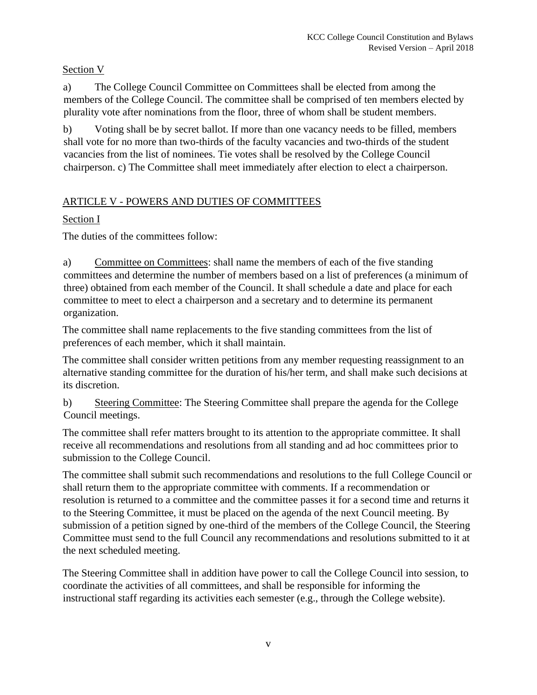## Section V

a) The College Council Committee on Committees shall be elected from among the members of the College Council. The committee shall be comprised of ten members elected by plurality vote after nominations from the floor, three of whom shall be student members.

b) Voting shall be by secret ballot. If more than one vacancy needs to be filled, members shall vote for no more than two-thirds of the faculty vacancies and two-thirds of the student vacancies from the list of nominees. Tie votes shall be resolved by the College Council chairperson. c) The Committee shall meet immediately after election to elect a chairperson.

# ARTICLE V - POWERS AND DUTIES OF COMMITTEES

# Section I

The duties of the committees follow:

a) Committee on Committees: shall name the members of each of the five standing committees and determine the number of members based on a list of preferences (a minimum of three) obtained from each member of the Council. It shall schedule a date and place for each committee to meet to elect a chairperson and a secretary and to determine its permanent organization.

The committee shall name replacements to the five standing committees from the list of preferences of each member, which it shall maintain.

The committee shall consider written petitions from any member requesting reassignment to an alternative standing committee for the duration of his/her term, and shall make such decisions at its discretion.

b) Steering Committee: The Steering Committee shall prepare the agenda for the College Council meetings.

The committee shall refer matters brought to its attention to the appropriate committee. It shall receive all recommendations and resolutions from all standing and ad hoc committees prior to submission to the College Council.

The committee shall submit such recommendations and resolutions to the full College Council or shall return them to the appropriate committee with comments. If a recommendation or resolution is returned to a committee and the committee passes it for a second time and returns it to the Steering Committee, it must be placed on the agenda of the next Council meeting. By submission of a petition signed by one-third of the members of the College Council, the Steering Committee must send to the full Council any recommendations and resolutions submitted to it at the next scheduled meeting.

The Steering Committee shall in addition have power to call the College Council into session, to coordinate the activities of all committees, and shall be responsible for informing the instructional staff regarding its activities each semester (e.g., through the College website).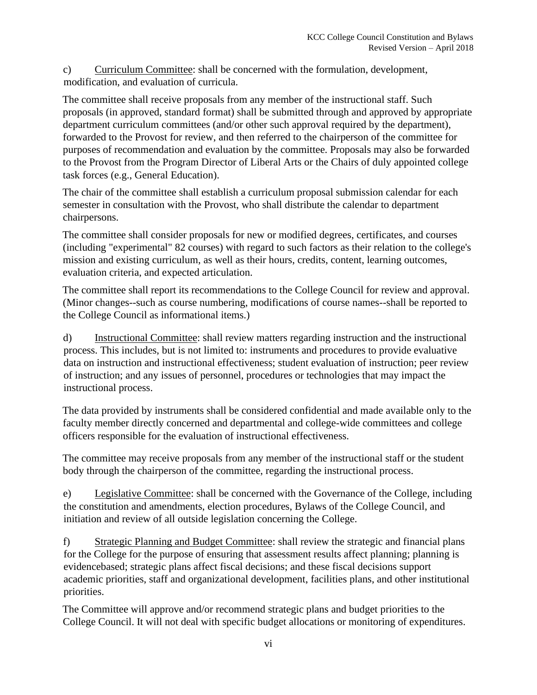c) Curriculum Committee: shall be concerned with the formulation, development, modification, and evaluation of curricula.

The committee shall receive proposals from any member of the instructional staff. Such proposals (in approved, standard format) shall be submitted through and approved by appropriate department curriculum committees (and/or other such approval required by the department), forwarded to the Provost for review, and then referred to the chairperson of the committee for purposes of recommendation and evaluation by the committee. Proposals may also be forwarded to the Provost from the Program Director of Liberal Arts or the Chairs of duly appointed college task forces (e.g., General Education).

The chair of the committee shall establish a curriculum proposal submission calendar for each semester in consultation with the Provost, who shall distribute the calendar to department chairpersons.

The committee shall consider proposals for new or modified degrees, certificates, and courses (including "experimental" 82 courses) with regard to such factors as their relation to the college's mission and existing curriculum, as well as their hours, credits, content, learning outcomes, evaluation criteria, and expected articulation.

The committee shall report its recommendations to the College Council for review and approval. (Minor changes--such as course numbering, modifications of course names--shall be reported to the College Council as informational items.)

d) Instructional Committee: shall review matters regarding instruction and the instructional process. This includes, but is not limited to: instruments and procedures to provide evaluative data on instruction and instructional effectiveness; student evaluation of instruction; peer review of instruction; and any issues of personnel, procedures or technologies that may impact the instructional process.

The data provided by instruments shall be considered confidential and made available only to the faculty member directly concerned and departmental and college-wide committees and college officers responsible for the evaluation of instructional effectiveness.

The committee may receive proposals from any member of the instructional staff or the student body through the chairperson of the committee, regarding the instructional process.

e) Legislative Committee: shall be concerned with the Governance of the College, including the constitution and amendments, election procedures, Bylaws of the College Council, and initiation and review of all outside legislation concerning the College.

f) Strategic Planning and Budget Committee: shall review the strategic and financial plans for the College for the purpose of ensuring that assessment results affect planning; planning is evidencebased; strategic plans affect fiscal decisions; and these fiscal decisions support academic priorities, staff and organizational development, facilities plans, and other institutional priorities.

The Committee will approve and/or recommend strategic plans and budget priorities to the College Council. It will not deal with specific budget allocations or monitoring of expenditures.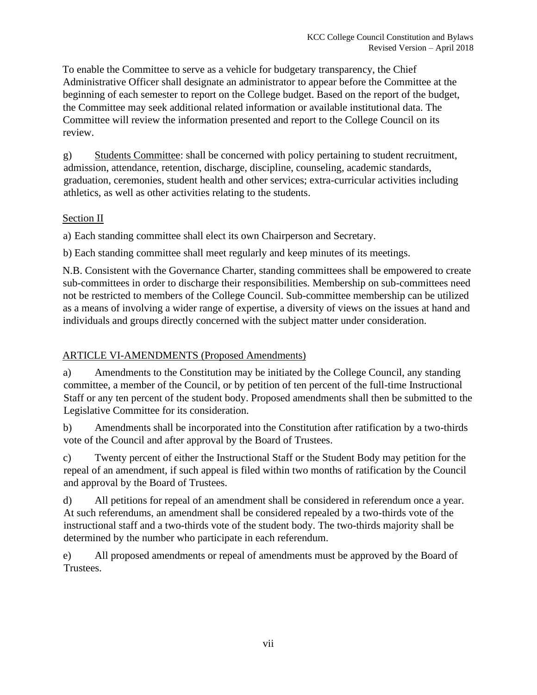To enable the Committee to serve as a vehicle for budgetary transparency, the Chief Administrative Officer shall designate an administrator to appear before the Committee at the beginning of each semester to report on the College budget. Based on the report of the budget, the Committee may seek additional related information or available institutional data. The Committee will review the information presented and report to the College Council on its review.

g) Students Committee: shall be concerned with policy pertaining to student recruitment, admission, attendance, retention, discharge, discipline, counseling, academic standards, graduation, ceremonies, student health and other services; extra-curricular activities including athletics, as well as other activities relating to the students.

### Section II

a) Each standing committee shall elect its own Chairperson and Secretary.

b) Each standing committee shall meet regularly and keep minutes of its meetings.

N.B. Consistent with the Governance Charter, standing committees shall be empowered to create sub-committees in order to discharge their responsibilities. Membership on sub-committees need not be restricted to members of the College Council. Sub-committee membership can be utilized as a means of involving a wider range of expertise, a diversity of views on the issues at hand and individuals and groups directly concerned with the subject matter under consideration.

## ARTICLE VI-AMENDMENTS (Proposed Amendments)

a) Amendments to the Constitution may be initiated by the College Council, any standing committee, a member of the Council, or by petition of ten percent of the full-time Instructional Staff or any ten percent of the student body. Proposed amendments shall then be submitted to the Legislative Committee for its consideration.

b) Amendments shall be incorporated into the Constitution after ratification by a two-thirds vote of the Council and after approval by the Board of Trustees.

c) Twenty percent of either the Instructional Staff or the Student Body may petition for the repeal of an amendment, if such appeal is filed within two months of ratification by the Council and approval by the Board of Trustees.

d) All petitions for repeal of an amendment shall be considered in referendum once a year. At such referendums, an amendment shall be considered repealed by a two-thirds vote of the instructional staff and a two-thirds vote of the student body. The two-thirds majority shall be determined by the number who participate in each referendum.

e) All proposed amendments or repeal of amendments must be approved by the Board of Trustees.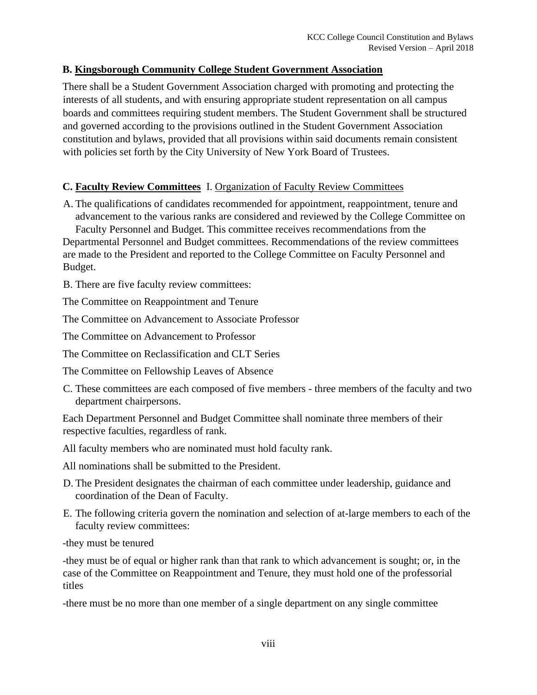### **B. Kingsborough Community College Student Government Association**

There shall be a Student Government Association charged with promoting and protecting the interests of all students, and with ensuring appropriate student representation on all campus boards and committees requiring student members. The Student Government shall be structured and governed according to the provisions outlined in the Student Government Association constitution and bylaws, provided that all provisions within said documents remain consistent with policies set forth by the City University of New York Board of Trustees.

### **C. Faculty Review Committees** I. Organization of Faculty Review Committees

A. The qualifications of candidates recommended for appointment, reappointment, tenure and advancement to the various ranks are considered and reviewed by the College Committee on Faculty Personnel and Budget. This committee receives recommendations from the

Departmental Personnel and Budget committees. Recommendations of the review committees are made to the President and reported to the College Committee on Faculty Personnel and Budget.

B. There are five faculty review committees:

The Committee on Reappointment and Tenure

The Committee on Advancement to Associate Professor

The Committee on Advancement to Professor

The Committee on Reclassification and CLT Series

The Committee on Fellowship Leaves of Absence

C. These committees are each composed of five members - three members of the faculty and two department chairpersons.

Each Department Personnel and Budget Committee shall nominate three members of their respective faculties, regardless of rank.

All faculty members who are nominated must hold faculty rank.

All nominations shall be submitted to the President.

- D. The President designates the chairman of each committee under leadership, guidance and coordination of the Dean of Faculty.
- E. The following criteria govern the nomination and selection of at-large members to each of the faculty review committees:

-they must be tenured

-they must be of equal or higher rank than that rank to which advancement is sought; or, in the case of the Committee on Reappointment and Tenure, they must hold one of the professorial titles

-there must be no more than one member of a single department on any single committee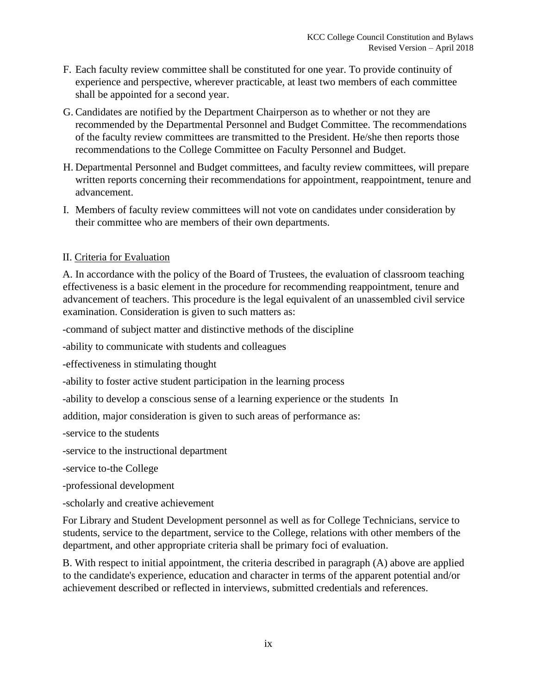- F. Each faculty review committee shall be constituted for one year. To provide continuity of experience and perspective, wherever practicable, at least two members of each committee shall be appointed for a second year.
- G. Candidates are notified by the Department Chairperson as to whether or not they are recommended by the Departmental Personnel and Budget Committee. The recommendations of the faculty review committees are transmitted to the President. He/she then reports those recommendations to the College Committee on Faculty Personnel and Budget.
- H. Departmental Personnel and Budget committees, and faculty review committees, will prepare written reports concerning their recommendations for appointment, reappointment, tenure and advancement.
- I. Members of faculty review committees will not vote on candidates under consideration by their committee who are members of their own departments.

### II. Criteria for Evaluation

A. In accordance with the policy of the Board of Trustees, the evaluation of classroom teaching effectiveness is a basic element in the procedure for recommending reappointment, tenure and advancement of teachers. This procedure is the legal equivalent of an unassembled civil service examination. Consideration is given to such matters as:

-command of subject matter and distinctive methods of the discipline

-ability to communicate with students and colleagues

-effectiveness in stimulating thought

-ability to foster active student participation in the learning process

-ability to develop a conscious sense of a learning experience or the students In

addition, major consideration is given to such areas of performance as:

-service to the students

-service to the instructional department

-service to-the College

-professional development

-scholarly and creative achievement

For Library and Student Development personnel as well as for College Technicians, service to students, service to the department, service to the College, relations with other members of the department, and other appropriate criteria shall be primary foci of evaluation.

B. With respect to initial appointment, the criteria described in paragraph (A) above are applied to the candidate's experience, education and character in terms of the apparent potential and/or achievement described or reflected in interviews, submitted credentials and references.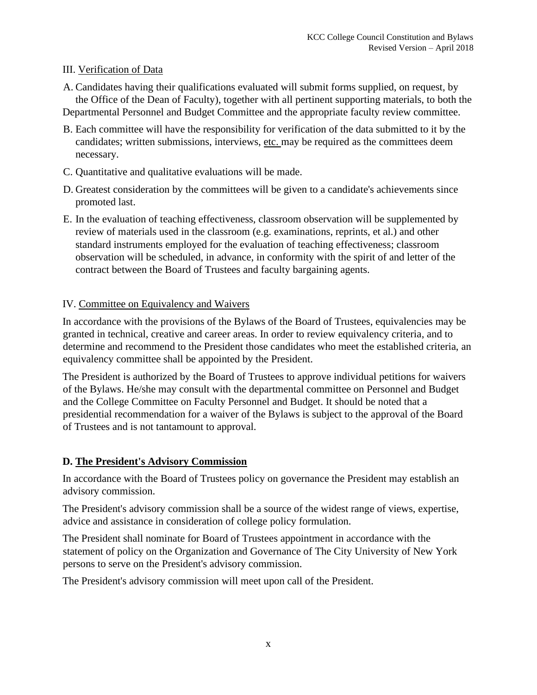### III. Verification of Data

A. Candidates having their qualifications evaluated will submit forms supplied, on request, by the Office of the Dean of Faculty), together with all pertinent supporting materials, to both the

Departmental Personnel and Budget Committee and the appropriate faculty review committee.

- B. Each committee will have the responsibility for verification of the data submitted to it by the candidates; written submissions, interviews, etc. may be required as the committees deem necessary.
- C. Quantitative and qualitative evaluations will be made.
- D. Greatest consideration by the committees will be given to a candidate's achievements since promoted last.
- E. In the evaluation of teaching effectiveness, classroom observation will be supplemented by review of materials used in the classroom (e.g. examinations, reprints, et al.) and other standard instruments employed for the evaluation of teaching effectiveness; classroom observation will be scheduled, in advance, in conformity with the spirit of and letter of the contract between the Board of Trustees and faculty bargaining agents.

### IV. Committee on Equivalency and Waivers

In accordance with the provisions of the Bylaws of the Board of Trustees, equivalencies may be granted in technical, creative and career areas. In order to review equivalency criteria, and to determine and recommend to the President those candidates who meet the established criteria, an equivalency committee shall be appointed by the President.

The President is authorized by the Board of Trustees to approve individual petitions for waivers of the Bylaws. He/she may consult with the departmental committee on Personnel and Budget and the College Committee on Faculty Personnel and Budget. It should be noted that a presidential recommendation for a waiver of the Bylaws is subject to the approval of the Board of Trustees and is not tantamount to approval.

## **D. The President's Advisory Commission**

In accordance with the Board of Trustees policy on governance the President may establish an advisory commission.

The President's advisory commission shall be a source of the widest range of views, expertise, advice and assistance in consideration of college policy formulation.

The President shall nominate for Board of Trustees appointment in accordance with the statement of policy on the Organization and Governance of The City University of New York persons to serve on the President's advisory commission.

The President's advisory commission will meet upon call of the President.